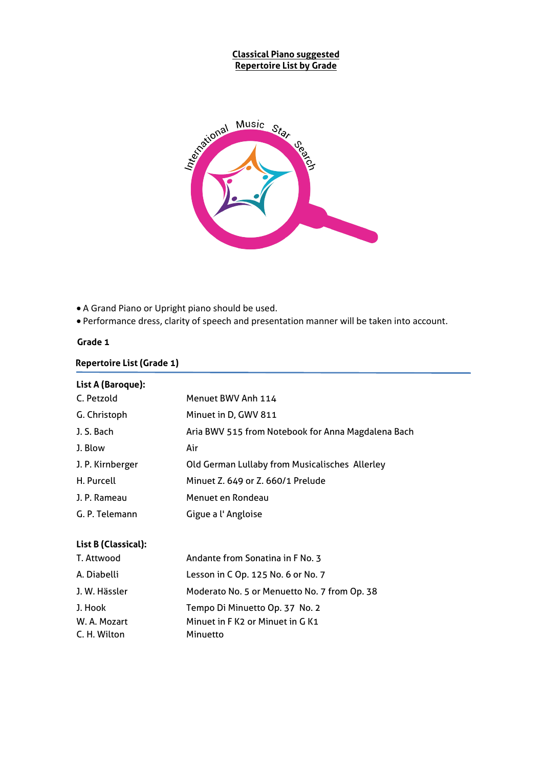#### **Classical Piano suggested Repertoire List by Grade**



A Grand Piano or Upright piano should be used.

Performance dress, clarity of speech and presentation manner will be taken into account.

#### **Grade 1**

#### **Repertoire List (Grade 1)**

| List A (Baroque):   |                                                    |
|---------------------|----------------------------------------------------|
| C. Petzold          | Menuet BWV Anh 114                                 |
| G. Christoph        | Minuet in D, GWV 811                               |
| J. S. Bach          | Aria BWV 515 from Notebook for Anna Magdalena Bach |
| J. Blow             | Air                                                |
| J. P. Kirnberger    | Old German Lullaby from Musicalisches Allerley     |
| H. Purcell          | Minuet Z. 649 or Z. 660/1 Prelude                  |
| J. P. Rameau        | Menuet en Rondeau                                  |
| G. P. Telemann      | Gigue a l'Angloise                                 |
| List B (Classical): |                                                    |
| T. Attwood          | Andante from Sonatina in F No. 3                   |
| A. Diabelli         | Lesson in C Op. 125 No. 6 or No. 7                 |
| J. W. Hässler       | Moderato No. 5 or Menuetto No. 7 from Op. 38       |
| J. Hook             | Tempo Di Minuetto Op. 37 No. 2                     |
| W. A. Mozart        | Minuet in F K2 or Minuet in G K1                   |
| C. H. Wilton        | Minuetto                                           |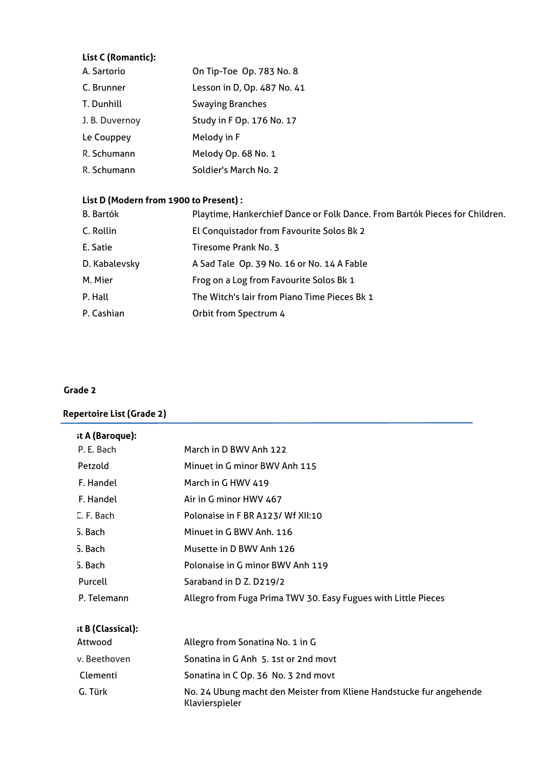## **List C (Romantic):**

| A. Sartorio    | On Tip-Toe Op. 783 No. 8    |
|----------------|-----------------------------|
| C. Brunner     | Lesson in D, Op. 487 No. 41 |
| T. Dunhill     | <b>Swaying Branches</b>     |
| J. B. Duvernoy | Study in F Op. 176 No. 17   |
| Le Couppey     | Melody in F                 |
| R. Schumann    | Melody Op. 68 No. 1         |
| R. Schumann    | Soldier's March No. 2       |

## **List D (Modern from 1900 to Present) :**

| <b>B.</b> Bartók | Playtime, Hankerchief Dance or Folk Dance. From Bartók Pieces for Children. |
|------------------|-----------------------------------------------------------------------------|
| C. Rollin        | El Conquistador from Favourite Solos Bk 2                                   |
| E. Satie         | Tiresome Prank No. 3                                                        |
| D. Kabalevsky    | A Sad Tale Op. 39 No. 16 or No. 14 A Fable                                  |
| M. Mier          | Frog on a Log from Favourite Solos Bk 1                                     |
| P. Hall          | The Witch's lair from Piano Time Pieces Bk 1                                |
| P. Cashian       | Orbit from Spectrum 4                                                       |

#### **Grade 2**

## **Repertoire List (Grade 2)**

| st A (Baroque):   |                                                                |
|-------------------|----------------------------------------------------------------|
| P. E. Bach        | March in D BWV Anh 122                                         |
| Petzold           | Minuet in G minor BWV Anh 115                                  |
| F. Handel         | March in G HWV 419                                             |
| F. Handel         | Air in G minor HWV 467                                         |
| C. F. Bach        | Polonaise in F BR A123/ Wf XII:10                              |
| 5. Bach           | Minuet in G BWV Anh. 116                                       |
| 5. Bach           | Musette in D BWV Anh 126                                       |
| 5. Bach           | Polonaise in G minor BWV Anh 119                               |
| Purcell           | Saraband in D Z. D219/2                                        |
| P. Telemann       | Allegro from Fuga Prima TWV 30. Easy Fugues with Little Pieces |
| st B (Classical): |                                                                |
| Attwood           | Allegro from Sonatina No. 1 in G                               |
| v. Beethoven      | Sonatina in G Anh 5. 1st or 2nd movt                           |
| Clementi          | Sonatina in C Op. 36 No. 3 2nd movt                            |

| ------------ |                                                                                       |
|--------------|---------------------------------------------------------------------------------------|
| G. Türk      | No. 24 Ubung macht den Meister from Kliene Handstucke fur angehende<br>Klavierspieler |
|              |                                                                                       |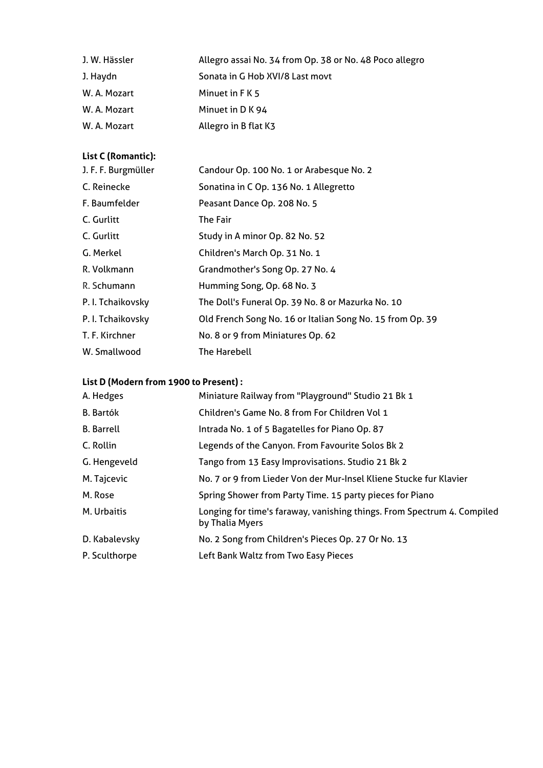| J. W. Hässler | Allegro assai No. 34 from Op. 38 or No. 48 Poco allegro |
|---------------|---------------------------------------------------------|
| J. Haydn      | Sonata in G Hob XVI/8 Last movt                         |
| W. A. Mozart  | Minuet in F K 5                                         |
| W. A. Mozart  | Minuet in D K 94                                        |
| W. A. Mozart  | Allegro in B flat K3                                    |

## **List C (Romantic):**

| J. F. F. Burgmüller | Candour Op. 100 No. 1 or Arabesque No. 2                  |  |
|---------------------|-----------------------------------------------------------|--|
| C. Reinecke         | Sonatina in C Op. 136 No. 1 Allegretto                    |  |
| F. Baumfelder       | Peasant Dance Op. 208 No. 5                               |  |
| C. Gurlitt          | The Fair                                                  |  |
| C. Gurlitt          | Study in A minor Op. 82 No. 52                            |  |
| G. Merkel           | Children's March Op. 31 No. 1                             |  |
| R. Volkmann         | Grandmother's Song Op. 27 No. 4                           |  |
| R. Schumann         | Humming Song, Op. 68 No. 3                                |  |
| P. I. Tchaikovsky   | The Doll's Funeral Op. 39 No. 8 or Mazurka No. 10         |  |
| P. I. Tchaikovsky   | Old French Song No. 16 or Italian Song No. 15 from Op. 39 |  |
| T. F. Kirchner      | No. 8 or 9 from Miniatures Op. 62                         |  |
| W. Smallwood        | The Harebell                                              |  |

## **List D (Modern from 1900 to Present) :**

| A. Hedges         | Miniature Railway from "Playground" Studio 21 Bk 1                                         |
|-------------------|--------------------------------------------------------------------------------------------|
| <b>B.</b> Bartók  | Children's Game No. 8 from For Children Vol 1                                              |
| <b>B.</b> Barrell | Intrada No. 1 of 5 Bagatelles for Piano Op. 87                                             |
| C. Rollin         | Legends of the Canyon. From Favourite Solos Bk 2                                           |
| G. Hengeveld      | Tango from 13 Easy Improvisations. Studio 21 Bk 2                                          |
| M. Tajcevic       | No. 7 or 9 from Lieder Von der Mur-Insel Kliene Stucke fur Klavier                         |
| M. Rose           | Spring Shower from Party Time. 15 party pieces for Piano                                   |
| M. Urbaitis       | Longing for time's faraway, vanishing things. From Spectrum 4. Compiled<br>by Thalia Myers |
| D. Kabalevsky     | No. 2 Song from Children's Pieces Op. 27 Or No. 13                                         |
| P. Sculthorpe     | Left Bank Waltz from Two Easy Pieces                                                       |
|                   |                                                                                            |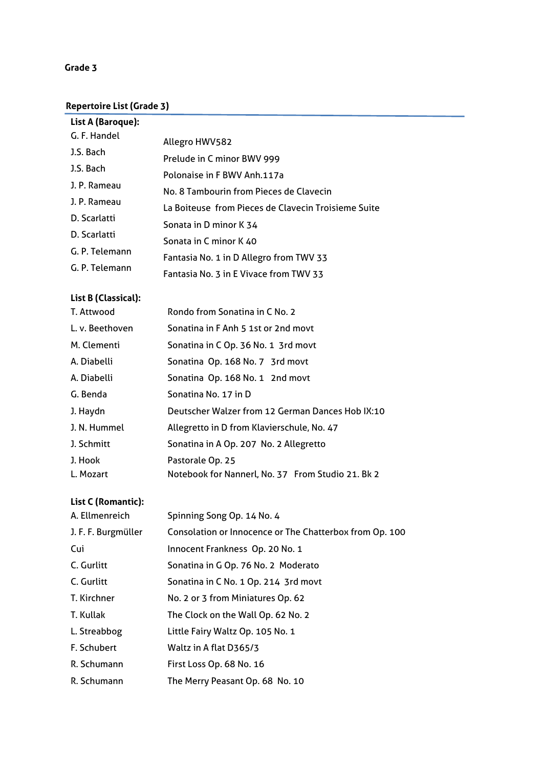## **Grade 3**

#### **Repertoire List (Grade 3)**

| List A (Baroque): |                                                     |
|-------------------|-----------------------------------------------------|
| G. F. Handel      | Allegro HWV582                                      |
| J.S. Bach         | Prelude in C minor BWV 999                          |
| J.S. Bach         | Polonaise in F BWV Anh.117a                         |
| J. P. Rameau      | No. 8 Tambourin from Pieces de Clavecin             |
| J. P. Rameau      | La Boiteuse from Pieces de Clavecin Troisieme Suite |
| D. Scarlatti      |                                                     |
| D. Scarlatti      | Sonata in D minor K 34                              |
| G. P. Telemann    | Sonata in C minor K 40                              |
| G. P. Telemann    | Fantasia No. 1 in D Allegro from TWV 33             |
|                   | Fantasia No. 3 in E Vivace from TWV 33              |

## **List B (Classical):**

| T. Attwood      | Rondo from Sonatina in C No. 2                    |
|-----------------|---------------------------------------------------|
| L. v. Beethoven | Sonatina in F Anh 5 1st or 2nd movt               |
| M. Clementi     | Sonatina in C Op. 36 No. 1 3rd movt               |
| A. Diabelli     | Sonatina Op. 168 No. 7 3rd movt                   |
| A. Diabelli     | Sonatina Op. 168 No. 1 2nd movt                   |
| G. Benda        | Sonatina No. 17 in D                              |
| J. Haydn        | Deutscher Walzer from 12 German Dances Hob IX:10  |
| J. N. Hummel    | Allegretto in D from Klavierschule, No. 47        |
| J. Schmitt      | Sonatina in A Op. 207 No. 2 Allegretto            |
| J. Hook         | Pastorale Op. 25                                  |
| L. Mozart       | Notebook for Nannerl, No. 37 From Studio 21. Bk 2 |

| A. Ellmenreich      | Spinning Song Op. 14 No. 4                              |
|---------------------|---------------------------------------------------------|
| J. F. F. Burgmüller | Consolation or Innocence or The Chatterbox from Op. 100 |
| Cui                 | Innocent Frankness Op. 20 No. 1                         |
| C. Gurlitt          | Sonatina in G Op. 76 No. 2 Moderato                     |
| C. Gurlitt          | Sonatina in C No. 1 Op. 214 3rd movt                    |
| T. Kirchner         | No. 2 or 3 from Miniatures Op. 62                       |
| T. Kullak           | The Clock on the Wall Op. 62 No. 2                      |
| L. Streabbog        | Little Fairy Waltz Op. 105 No. 1                        |
| F. Schubert         | Waltz in A flat D365/3                                  |
| R. Schumann         | First Loss Op. 68 No. 16                                |
| R. Schumann         | The Merry Peasant Op. 68 No. 10                         |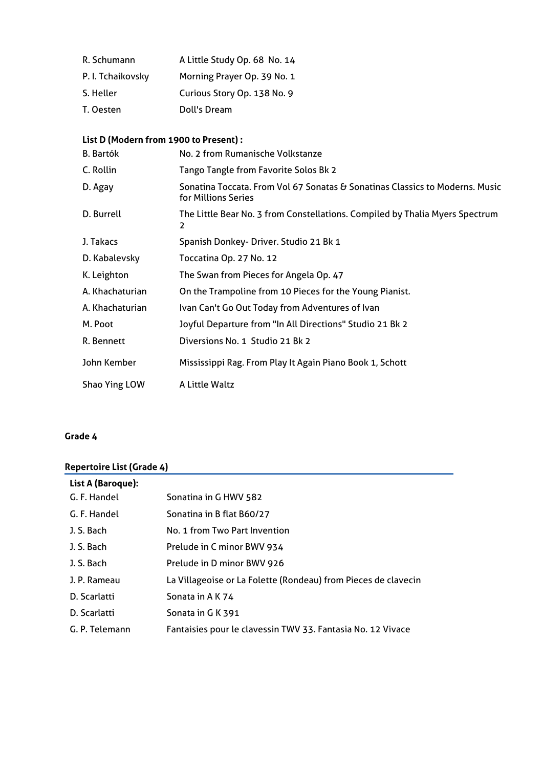| R. Schumann       | A Little Study Op. 68 No. 14 |
|-------------------|------------------------------|
| P. I. Tchaikovsky | Morning Prayer Op. 39 No. 1  |
| S. Heller         | Curious Story Op. 138 No. 9  |
| T. Oesten         | Doll's Dream                 |

## **List D (Modern from 1900 to Present) :**

| <b>B.</b> Bartók | No. 2 from Rumanische Volkstanze                                                                    |
|------------------|-----------------------------------------------------------------------------------------------------|
| C. Rollin        | Tango Tangle from Favorite Solos Bk 2                                                               |
| D. Agay          | Sonatina Toccata. From Vol 67 Sonatas & Sonatinas Classics to Moderns. Music<br>for Millions Series |
| D. Burrell       | The Little Bear No. 3 from Constellations. Compiled by Thalia Myers Spectrum<br>2                   |
| J. Takacs        | Spanish Donkey- Driver. Studio 21 Bk 1                                                              |
| D. Kabalevsky    | Toccatina Op. 27 No. 12                                                                             |
| K. Leighton      | The Swan from Pieces for Angela Op. 47                                                              |
| A. Khachaturian  | On the Trampoline from 10 Pieces for the Young Pianist.                                             |
| A. Khachaturian  | Ivan Can't Go Out Today from Adventures of Ivan                                                     |
| M. Poot          | Joyful Departure from "In All Directions" Studio 21 Bk 2                                            |
| R. Bennett       | Diversions No. 1 Studio 21 Bk 2                                                                     |
| John Kember      | Mississippi Rag. From Play It Again Piano Book 1, Schott                                            |
| Shao Ying LOW    | A Little Waltz                                                                                      |

## **Grade 4**

## **Repertoire List (Grade 4)**

| List A (Baroque): |                                                                |
|-------------------|----------------------------------------------------------------|
| G. F. Handel      | Sonatina in G HWV 582                                          |
| G. F. Handel      | Sonatina in B flat B60/27                                      |
| J. S. Bach        | No. 1 from Two Part Invention                                  |
| J. S. Bach        | Prelude in C minor BWV 934                                     |
| J. S. Bach        | Prelude in D minor BWV 926                                     |
| J. P. Rameau      | La Villageoise or La Folette (Rondeau) from Pieces de clavecin |
| D. Scarlatti      | Sonata in A K 74                                               |
| D. Scarlatti      | Sonata in G K 391                                              |
| G. P. Telemann    | Fantaisies pour le clavessin TWV 33. Fantasia No. 12 Vivace    |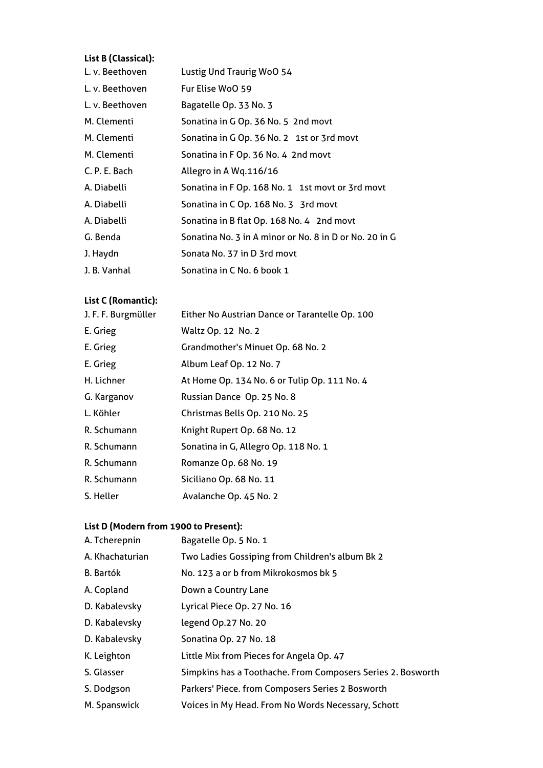## **List B (Classical):**

| L. v. Beethoven | Lustig Und Traurig WoO 54                              |
|-----------------|--------------------------------------------------------|
| L. v. Beethoven | Fur Elise WoO 59                                       |
| L. v. Beethoven | Bagatelle Op. 33 No. 3                                 |
| M. Clementi     | Sonatina in G Op. 36 No. 5 2nd movt                    |
| M. Clementi     | Sonatina in G Op. 36 No. 2 1st or 3rd movt             |
| M. Clementi     | Sonatina in F Op. 36 No. 4 2nd movt                    |
| C. P. E. Bach   | Allegro in A Wq.116/16                                 |
| A. Diabelli     | Sonatina in F Op. 168 No. 1 1st movt or 3rd movt       |
| A. Diabelli     | Sonatina in C Op. 168 No. 3 3rd movt                   |
| A. Diabelli     | Sonatina in B flat Op. 168 No. 4 2nd movt              |
| G. Benda        | Sonatina No. 3 in A minor or No. 8 in D or No. 20 in G |
| J. Haydn        | Sonata No. 37 in D 3rd movt                            |
| J. B. Vanhal    | Sonatina in C No. 6 book 1                             |

## **List C (Romantic):**

| J. F. F. Burgmüller | Either No Austrian Dance or Tarantelle Op. 100 |
|---------------------|------------------------------------------------|
| E. Grieg            | Waltz Op. 12 No. 2                             |
| E. Grieg            | Grandmother's Minuet Op. 68 No. 2              |
| E. Grieg            | Album Leaf Op. 12 No. 7                        |
| H. Lichner          | At Home Op. 134 No. 6 or Tulip Op. 111 No. 4   |
| G. Karganov         | Russian Dance Op. 25 No. 8                     |
| L. Köhler           | Christmas Bells Op. 210 No. 25                 |
| R. Schumann         | Knight Rupert Op. 68 No. 12                    |
| R. Schumann         | Sonatina in G, Allegro Op. 118 No. 1           |
| R. Schumann         | Romanze Op. 68 No. 19                          |
| R. Schumann         | Siciliano Op. 68 No. 11                        |
| S. Heller           | Avalanche Op. 45 No. 2                         |
|                     |                                                |

## **List D (Modern from 1900 to Present):**

| A. Tcherepnin    | Bagatelle Op. 5 No. 1                                       |
|------------------|-------------------------------------------------------------|
| A. Khachaturian  | Two Ladies Gossiping from Children's album Bk 2             |
| <b>B.</b> Bartók | No. 123 a or b from Mikrokosmos bk 5                        |
| A. Copland       | Down a Country Lane                                         |
| D. Kabalevsky    | Lyrical Piece Op. 27 No. 16                                 |
| D. Kabalevsky    | legend Op.27 No. 20                                         |
| D. Kabalevsky    | Sonatina Op. 27 No. 18                                      |
| K. Leighton      | Little Mix from Pieces for Angela Op. 47                    |
| S. Glasser       | Simpkins has a Toothache. From Composers Series 2. Bosworth |
| S. Dodgson       | Parkers' Piece. from Composers Series 2 Bosworth            |

M. Spanswick Voices in My Head. From No Words Necessary, Schott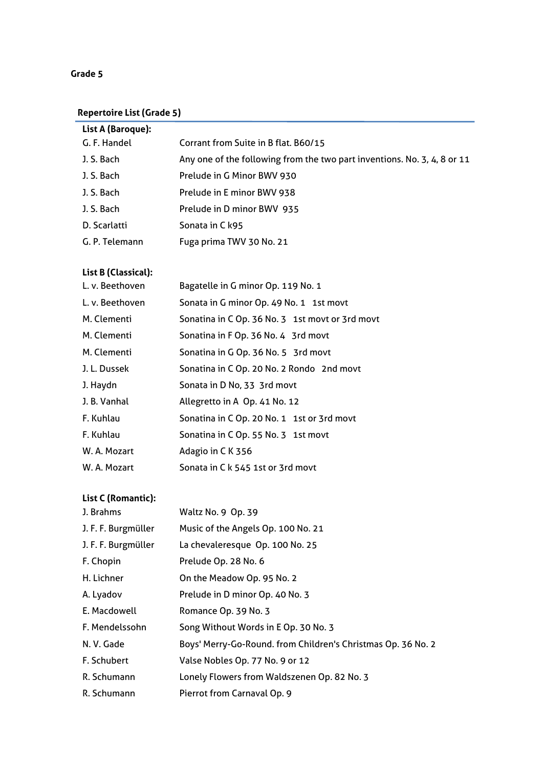#### **Grade 5**

## **Repertoire List (Grade 5)**

| List A (Baroque): |                                                                          |
|-------------------|--------------------------------------------------------------------------|
| G. F. Handel      | Corrant from Suite in B flat. B60/15                                     |
| J. S. Bach        | Any one of the following from the two part inventions. No. 3, 4, 8 or 11 |
| J. S. Bach        | Prelude in G Minor BWV 930                                               |
| J. S. Bach        | Prelude in E minor BWV 938                                               |
| J. S. Bach        | Prelude in D minor BWV 935                                               |
| D. Scarlatti      | Sonata in C k95                                                          |
| G. P. Telemann    | Fuga prima TWV 30 No. 21                                                 |
|                   |                                                                          |

# **List B (Classical):**

| LIST B (CLASSICAL): |                                                 |
|---------------------|-------------------------------------------------|
| L. v. Beethoven     | Bagatelle in G minor Op. 119 No. 1              |
| L. v. Beethoven     | Sonata in G minor Op. 49 No. 1 1st movt         |
| M. Clementi         | Sonatina in C Op. 36 No. 3 1st movt or 3rd movt |
| M. Clementi         | Sonatina in F Op. 36 No. 4 3rd movt             |
| M. Clementi         | Sonatina in G Op. 36 No. 5 3rd movt             |
| J. L. Dussek        | Sonatina in C Op. 20 No. 2 Rondo 2nd movt       |
| J. Haydn            | Sonata in D No, 33 3rd movt                     |
| J. B. Vanhal        | Allegretto in A Op. 41 No. 12                   |
| F. Kuhlau           | Sonatina in C Op. 20 No. 1 1st or 3rd movt      |
| F. Kuhlau           | Sonatina in C Op. 55 No. 3 1st movt             |
| W. A. Mozart        | Adagio in CK 356                                |
| W. A. Mozart        | Sonata in C k 545 1st or 3rd movt               |

| J. Brahms           | Waltz No. 9 Op. 39                                           |
|---------------------|--------------------------------------------------------------|
| J. F. F. Burgmüller | Music of the Angels Op. 100 No. 21                           |
| J. F. F. Burgmüller | La chevaleresque Op. 100 No. 25                              |
| F. Chopin           | Prelude Op. 28 No. 6                                         |
| H. Lichner          | On the Meadow Op. 95 No. 2                                   |
| A. Lyadov           | Prelude in D minor Op. 40 No. 3                              |
| E. Macdowell        | Romance Op. 39 No. 3                                         |
| F. Mendelssohn      | Song Without Words in E Op. 30 No. 3                         |
| N.V. Gade           | Boys' Merry-Go-Round. from Children's Christmas Op. 36 No. 2 |
| F. Schubert         | Valse Nobles Op. 77 No. 9 or 12                              |
| R. Schumann         | Lonely Flowers from Waldszenen Op. 82 No. 3                  |
| R. Schumann         | Pierrot from Carnaval Op. 9                                  |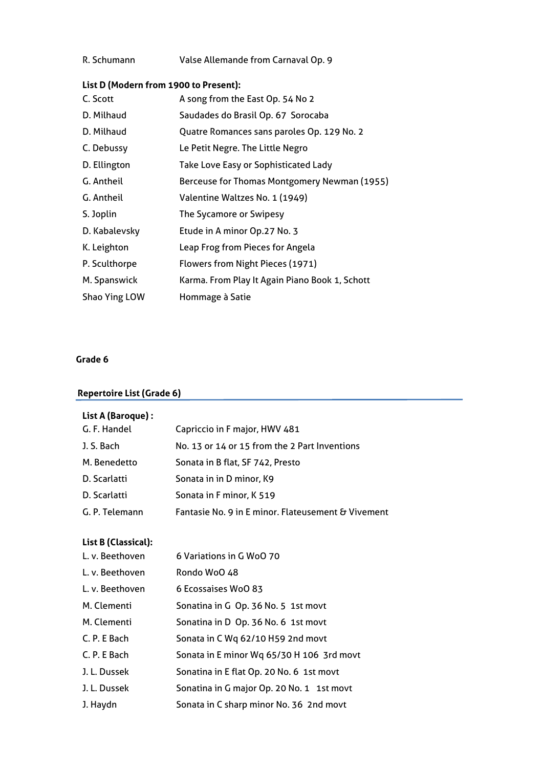| R. Schumann | Valse Allemande from Carnaval Op. 9 |  |  |
|-------------|-------------------------------------|--|--|
|-------------|-------------------------------------|--|--|

#### **List D (Modern from 1900 to Present):**

| C. Scott      | A song from the East Op. 54 No 2               |
|---------------|------------------------------------------------|
| D. Milhaud    | Saudades do Brasil Op. 67 Sorocaba             |
| D. Milhaud    | Quatre Romances sans paroles Op. 129 No. 2     |
| C. Debussy    | Le Petit Negre. The Little Negro               |
| D. Ellington  | Take Love Easy or Sophisticated Lady           |
| G. Antheil    | Berceuse for Thomas Montgomery Newman (1955)   |
| G. Antheil    | Valentine Waltzes No. 1 (1949)                 |
| S. Joplin     | The Sycamore or Swipesy                        |
| D. Kabalevsky | Etude in A minor Op.27 No. 3                   |
| K. Leighton   | Leap Frog from Pieces for Angela               |
| P. Sculthorpe | Flowers from Night Pieces (1971)               |
| M. Spanswick  | Karma. From Play It Again Piano Book 1, Schott |
| Shao Ying LOW | Hommage à Satie                                |

#### **Grade 6**

## **Repertoire List (Grade 6)**

## **List A (Baroque) :**

| G. F. Handel   | Capriccio in F major, HWV 481                      |
|----------------|----------------------------------------------------|
| J. S. Bach     | No. 13 or 14 or 15 from the 2 Part Inventions      |
| M. Benedetto   | Sonata in B flat, SF 742, Presto                   |
| D. Scarlatti   | Sonata in in D minor, K9                           |
| D. Scarlatti   | Sonata in F minor, K 519                           |
| G. P. Telemann | Fantasie No. 9 in E minor. Flateusement & Vivement |

## **List B (Classical):**

| L. v. Beethoven | 6 Variations in G WoO 70                  |
|-----------------|-------------------------------------------|
| L. v. Beethoven | Rondo WoO 48                              |
| L. v. Beethoven | 6 Ecossaises WoO 83                       |
| M. Clementi     | Sonatina in G Op. 36 No. 5 1st movt       |
| M. Clementi     | Sonatina in D Op. 36 No. 6 1st movt       |
| C. P. E Bach    | Sonata in C Wq 62/10 H59 2nd movt         |
| C. P. E Bach    | Sonata in E minor Wq 65/30 H 106 3rd movt |
| J. L. Dussek    | Sonatina in E flat Op. 20 No. 6 1st movt  |
| J. L. Dussek    | Sonatina in G major Op. 20 No. 1 1st movt |
| J. Haydn        | Sonata in C sharp minor No. 36 2nd movt   |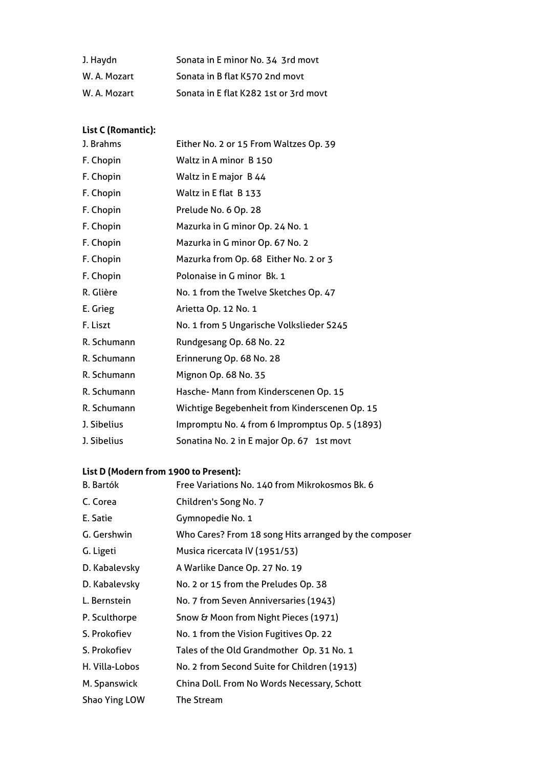| J. Haydn     | Sonata in E minor No. 34 3rd movt     |
|--------------|---------------------------------------|
| W. A. Mozart | Sonata in B flat K570 2nd movt        |
| W. A. Mozart | Sonata in E flat K282 1st or 3rd movt |

## **List C (Romantic):**

| J. Brahms   | Either No. 2 or 15 From Waltzes Op. 39         |
|-------------|------------------------------------------------|
| F. Chopin   | Waltz in A minor B 150                         |
| F. Chopin   | Waltz in E major B 44                          |
| F. Chopin   | Waltz in E flat B 133                          |
| F. Chopin   | Prelude No. 6 Op. 28                           |
| F. Chopin   | Mazurka in G minor Op. 24 No. 1                |
| F. Chopin   | Mazurka in G minor Op. 67 No. 2                |
| F. Chopin   | Mazurka from Op. 68 Either No. 2 or 3          |
| F. Chopin   | Polonaise in G minor Bk. 1                     |
| R. Glière   | No. 1 from the Twelve Sketches Op. 47          |
| E. Grieg    | Arietta Op. 12 No. 1                           |
| F. Liszt    | No. 1 from 5 Ungarische Volkslieder S245       |
| R. Schumann | Rundgesang Op. 68 No. 22                       |
| R. Schumann | Erinnerung Op. 68 No. 28                       |
| R. Schumann | Mignon Op. 68 No. 35                           |
| R. Schumann | Hasche- Mann from Kinderscenen Op. 15          |
| R. Schumann | Wichtige Begebenheit from Kinderscenen Op. 15  |
| J. Sibelius | Impromptu No. 4 from 6 Impromptus Op. 5 (1893) |
| J. Sibelius | Sonatina No. 2 in E major Op. 67 1st movt      |

## **List D (Modern from 1900 to Present):**

| <b>B.</b> Bartók | Free Variations No. 140 from Mikrokosmos Bk. 6        |
|------------------|-------------------------------------------------------|
| C. Corea         | Children's Song No. 7                                 |
| E. Satie         | Gymnopedie No. 1                                      |
| G. Gershwin      | Who Cares? From 18 song Hits arranged by the composer |
| G. Ligeti        | Musica ricercata IV (1951/53)                         |
| D. Kabalevsky    | A Warlike Dance Op. 27 No. 19                         |
| D. Kabalevsky    | No. 2 or 15 from the Preludes Op. 38                  |
| L. Bernstein     | No. 7 from Seven Anniversaries (1943)                 |
| P. Sculthorpe    | Snow & Moon from Night Pieces (1971)                  |
| S. Prokofiev     | No. 1 from the Vision Fugitives Op. 22                |
| S. Prokofiev     | Tales of the Old Grandmother Op. 31 No. 1             |
| H. Villa-Lobos   | No. 2 from Second Suite for Children (1913)           |
| M. Spanswick     | China Doll. From No Words Necessary, Schott           |
| Shao Ying LOW    | The Stream                                            |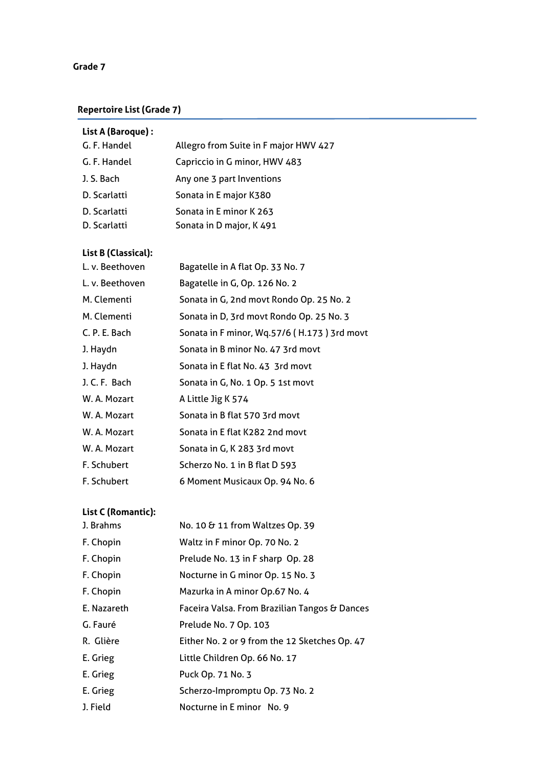## **Grade 7**

## **Repertoire List (Grade 7)**

| List A (Baroque) : |                                       |
|--------------------|---------------------------------------|
| G. F. Handel       | Allegro from Suite in F major HWV 427 |
| G. F. Handel       | Capriccio in G minor, HWV 483         |
| J. S. Bach         | Any one 3 part Inventions             |
| D. Scarlatti       | Sonata in E major K380                |
| D. Scarlatti       | Sonata in E minor K 263               |
| D. Scarlatti       | Sonata in D major, K 491              |

## **List B (Classical):**

| L. v. Beethoven | Bagatelle in A flat Op. 33 No. 7            |
|-----------------|---------------------------------------------|
| L. v. Beethoven | Bagatelle in G, Op. 126 No. 2               |
| M. Clementi     | Sonata in G, 2nd movt Rondo Op. 25 No. 2    |
| M. Clementi     | Sonata in D, 3rd movt Rondo Op. 25 No. 3    |
| C. P. E. Bach   | Sonata in F minor, Wq.57/6 (H.173) 3rd movt |
| J. Haydn        | Sonata in B minor No. 47 3rd movt           |
| J. Haydn        | Sonata in E flat No. 43 3rd movt            |
| J. C. F. Bach   | Sonata in G, No. 1 Op. 5 1st movt           |
| W. A. Mozart    | A Little Jig K 574                          |
| W. A. Mozart    | Sonata in B flat 570 3rd movt               |
| W. A. Mozart    | Sonata in E flat K282 2nd movt              |
| W. A. Mozart    | Sonata in G, K 283 3rd movt                 |
| F. Schubert     | Scherzo No. 1 in B flat D 593               |
| F. Schubert     | 6 Moment Musicaux Op. 94 No. 6              |

| J. Brahms   | No. 10 & 11 from Waltzes Op. 39               |
|-------------|-----------------------------------------------|
| F. Chopin   | Waltz in F minor Op. 70 No. 2                 |
| F. Chopin   | Prelude No. 13 in F sharp Op. 28              |
| F. Chopin   | Nocturne in G minor Op. 15 No. 3              |
| F. Chopin   | Mazurka in A minor Op.67 No. 4                |
| E. Nazareth | Faceira Valsa. From Brazilian Tangos & Dances |
| G. Fauré    | Prelude No. 7 Op. 103                         |
| R. Glière   | Either No. 2 or 9 from the 12 Sketches Op. 47 |
| E. Grieg    | Little Children Op. 66 No. 17                 |
| E. Grieg    | Puck Op. 71 No. 3                             |
| E. Grieg    | Scherzo-Impromptu Op. 73 No. 2                |
| J. Field    | Nocturne in E minor No. 9                     |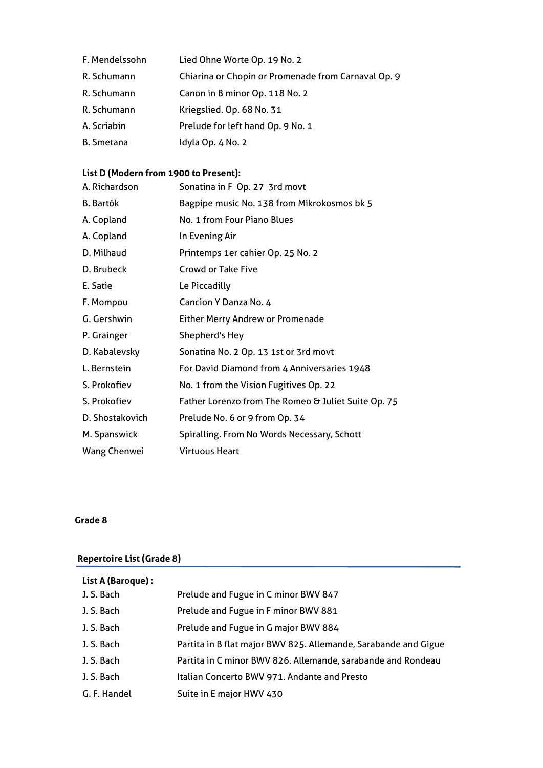- F. Mendelssohn Lied Ohne Worte Op. 19 No. 2
- R. Schumann Chiarina or Chopin or Promenade from Carnaval Op. 9
- R. Schumann Canon in B minor Op. 118 No. 2
- R. Schumann Kriegslied. Op. 68 No. 31
- A. Scriabin Prelude for left hand Op. 9 No. 1
- B. Smetana Idyla Op. 4 No. 2

## **List D (Modern from 1900 to Present):**

| A. Richardson    | Sonatina in F Op. 27 3rd movt                       |
|------------------|-----------------------------------------------------|
| <b>B.</b> Bartók | Bagpipe music No. 138 from Mikrokosmos bk 5         |
| A. Copland       | No. 1 from Four Piano Blues                         |
| A. Copland       | In Evening Air                                      |
| D. Milhaud       | Printemps 1er cahier Op. 25 No. 2                   |
| D. Brubeck       | <b>Crowd or Take Five</b>                           |
| E. Satie         | Le Piccadilly                                       |
| F. Mompou        | Cancion Y Danza No. 4                               |
| G. Gershwin      | <b>Either Merry Andrew or Promenade</b>             |
| P. Grainger      | Shepherd's Hey                                      |
| D. Kabalevsky    | Sonatina No. 2 Op. 13 1st or 3rd movt               |
| L. Bernstein     | For David Diamond from 4 Anniversaries 1948         |
| S. Prokofiev     | No. 1 from the Vision Fugitives Op. 22              |
| S. Prokofiev     | Father Lorenzo from The Romeo & Juliet Suite Op. 75 |
| D. Shostakovich  | Prelude No. 6 or 9 from Op. 34                      |
| M. Spanswick     | Spiralling. From No Words Necessary, Schott         |
| Wang Chenwei     | <b>Virtuous Heart</b>                               |
|                  |                                                     |

#### **Grade 8**

## **Repertoire List (Grade 8)**

| List A (Baroque): |                                                                 |
|-------------------|-----------------------------------------------------------------|
| J. S. Bach        | Prelude and Fugue in C minor BWV 847                            |
| J. S. Bach        | Prelude and Fugue in F minor BWV 881                            |
| J. S. Bach        | Prelude and Fugue in G major BWV 884                            |
| J. S. Bach        | Partita in B flat major BWV 825. Allemande, Sarabande and Gigue |
| J. S. Bach        | Partita in C minor BWV 826. Allemande, sarabande and Rondeau    |
| J. S. Bach        | Italian Concerto BWV 971. Andante and Presto                    |
| G. F. Handel      | Suite in E major HWV 430                                        |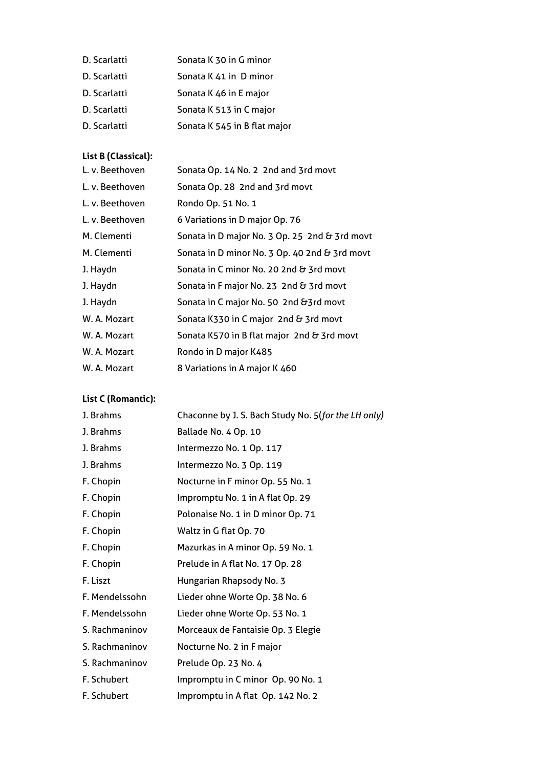| D. Scarlatti | Sonata K 30 in G minor       |
|--------------|------------------------------|
| D. Scarlatti | Sonata K 41 in D minor       |
| D. Scarlatti | Sonata K 46 in E major       |
| D. Scarlatti | Sonata K 513 in C major      |
| D. Scarlatti | Sonata K 545 in B flat major |

## **List B (Classical):**

| L. v. Beethoven | Sonata Op. 14 No. 2 2nd and 3rd movt          |
|-----------------|-----------------------------------------------|
| L. v. Beethoven | Sonata Op. 28 2nd and 3rd movt                |
| L. v. Beethoven | Rondo Op. 51 No. 1                            |
| L. v. Beethoven | 6 Variations in D major Op. 76                |
| M. Clementi     | Sonata in D major No. 3 Op. 25 2nd & 3rd movt |
| M. Clementi     | Sonata in D minor No. 3 Op. 40 2nd & 3rd movt |
| J. Haydn        | Sonata in C minor No. 20 2nd & 3rd movt       |
| J. Haydn        | Sonata in F major No. 23 2nd & 3rd movt       |
| J. Haydn        | Sonata in C major No. 50 2nd & 3rd movt       |
| W. A. Mozart    | Sonata K330 in C major 2nd & 3rd movt         |
| W. A. Mozart    | Sonata K570 in B flat major 2nd & 3rd movt    |
| W. A. Mozart    | Rondo in D major K485                         |
| W. A. Mozart    | 8 Variations in A major K 460                 |
|                 |                                               |

| J. Brahms      | Chaconne by J. S. Bach Study No. 5(for the LH only) |
|----------------|-----------------------------------------------------|
| J. Brahms      | Ballade No. 4 Op. 10                                |
| J. Brahms      | Intermezzo No. 1 Op. 117                            |
| J. Brahms      | Intermezzo No. 3 Op. 119                            |
| F. Chopin      | Nocturne in F minor Op. 55 No. 1                    |
| F. Chopin      | Impromptu No. 1 in A flat Op. 29                    |
| F. Chopin      | Polonaise No. 1 in D minor Op. 71                   |
| F. Chopin      | Waltz in G flat Op. 70                              |
| F. Chopin      | Mazurkas in A minor Op. 59 No. 1                    |
| F. Chopin      | Prelude in A flat No. 17 Op. 28                     |
| F. Liszt       | Hungarian Rhapsody No. 3                            |
| F. Mendelssohn | Lieder ohne Worte Op. 38 No. 6                      |
| F. Mendelssohn | Lieder ohne Worte Op. 53 No. 1                      |
| S. Rachmaninov | Morceaux de Fantaisie Op. 3 Elegie                  |
| S. Rachmaninov | Nocturne No. 2 in F major                           |
| S. Rachmaninov | Prelude Op. 23 No. 4                                |
| F. Schubert    | Impromptu in C minor Op. 90 No. 1                   |
| F. Schubert    | Impromptu in A flat Op. 142 No. 2                   |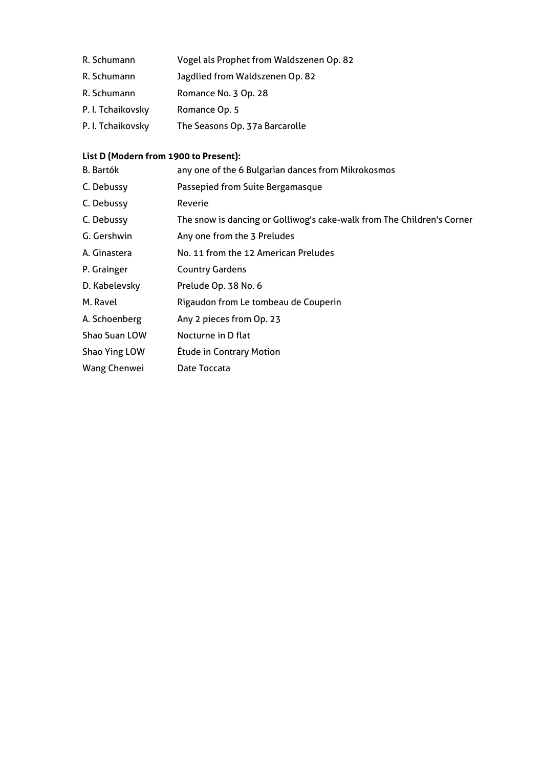- R. Schumann Vogel als Prophet from Waldszenen Op. 82
- R. Schumann Jagdlied from Waldszenen Op. 82
- R. Schumann Romance No. 3 Op. 28
- P. I. Tchaikovsky Romance Op. 5
- P. I. Tchaikovsky The Seasons Op. 37a Barcarolle

## **List D (Modern from 1900 to Present):**

| <b>B.</b> Bartók | any one of the 6 Bulgarian dances from Mikrokosmos                     |
|------------------|------------------------------------------------------------------------|
| C. Debussy       | Passepied from Suite Bergamasque                                       |
| C. Debussy       | Reverie                                                                |
| C. Debussy       | The snow is dancing or Golliwog's cake-walk from The Children's Corner |
| G. Gershwin      | Any one from the 3 Preludes                                            |
| A. Ginastera     | No. 11 from the 12 American Preludes                                   |
| P. Grainger      | <b>Country Gardens</b>                                                 |
| D. Kabelevsky    | Prelude Op. 38 No. 6                                                   |
| M. Ravel         | Rigaudon from Le tombeau de Couperin                                   |
| A. Schoenberg    | Any 2 pieces from Op. 23                                               |
| Shao Suan LOW    | Nocturne in D flat                                                     |
| Shao Ying LOW    | <b>Étude in Contrary Motion</b>                                        |
| Wang Chenwei     | Date Toccata                                                           |
|                  |                                                                        |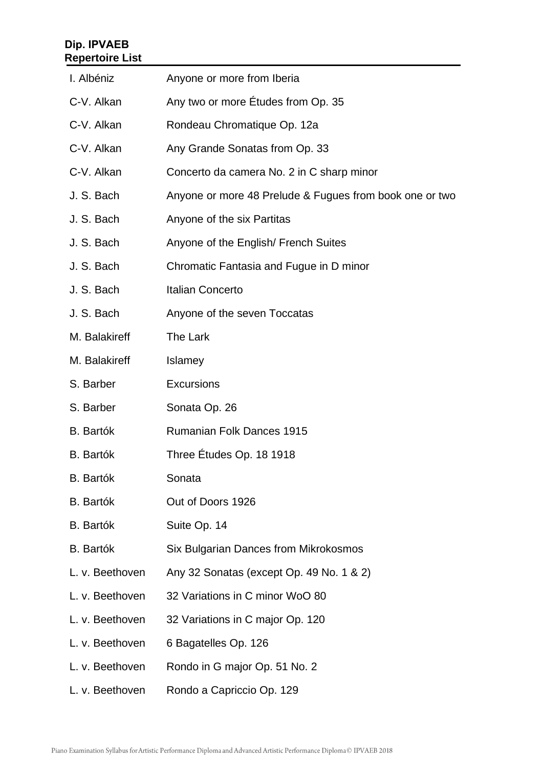## **Dip. IPVAEB Repertoire List**

| I. Albéniz       | Anyone or more from Iberia                              |
|------------------|---------------------------------------------------------|
| C-V. Alkan       | Any two or more Etudes from Op. 35                      |
| C-V. Alkan       | Rondeau Chromatique Op. 12a                             |
| C-V. Alkan       | Any Grande Sonatas from Op. 33                          |
| C-V. Alkan       | Concerto da camera No. 2 in C sharp minor               |
| J. S. Bach       | Anyone or more 48 Prelude & Fugues from book one or two |
| J. S. Bach       | Anyone of the six Partitas                              |
| J. S. Bach       | Anyone of the English/ French Suites                    |
| J. S. Bach       | Chromatic Fantasia and Fugue in D minor                 |
| J. S. Bach       | <b>Italian Concerto</b>                                 |
| J. S. Bach       | Anyone of the seven Toccatas                            |
| M. Balakireff    | The Lark                                                |
| M. Balakireff    | Islamey                                                 |
| S. Barber        | <b>Excursions</b>                                       |
| S. Barber        | Sonata Op. 26                                           |
| <b>B.</b> Bartók | <b>Rumanian Folk Dances 1915</b>                        |
| <b>B.</b> Bartók | Three Etudes Op. 18 1918                                |
| <b>B.</b> Bartók | Sonata                                                  |
| <b>B.</b> Bartók | Out of Doors 1926                                       |
| <b>B.</b> Bartók | Suite Op. 14                                            |
| <b>B.</b> Bartók | Six Bulgarian Dances from Mikrokosmos                   |
| L. v. Beethoven  | Any 32 Sonatas (except Op. 49 No. 1 & 2)                |
| L. v. Beethoven  | 32 Variations in C minor WoO 80                         |
| L. v. Beethoven  | 32 Variations in C major Op. 120                        |
| L. v. Beethoven  | 6 Bagatelles Op. 126                                    |
| L. v. Beethoven  | Rondo in G major Op. 51 No. 2                           |
| L. v. Beethoven  | Rondo a Capriccio Op. 129                               |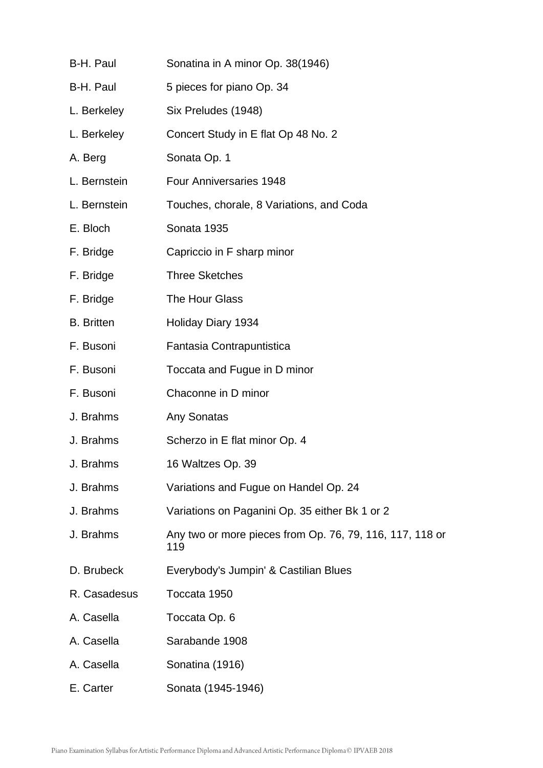| B-H. Paul         | Sonatina in A minor Op. 38(1946)                                |
|-------------------|-----------------------------------------------------------------|
| B-H. Paul         | 5 pieces for piano Op. 34                                       |
| L. Berkeley       | Six Preludes (1948)                                             |
| L. Berkeley       | Concert Study in E flat Op 48 No. 2                             |
| A. Berg           | Sonata Op. 1                                                    |
| L. Bernstein      | <b>Four Anniversaries 1948</b>                                  |
| L. Bernstein      | Touches, chorale, 8 Variations, and Coda                        |
| E. Bloch          | Sonata 1935                                                     |
| F. Bridge         | Capriccio in F sharp minor                                      |
| F. Bridge         | <b>Three Sketches</b>                                           |
| F. Bridge         | The Hour Glass                                                  |
| <b>B.</b> Britten | Holiday Diary 1934                                              |
| F. Busoni         | Fantasia Contrapuntistica                                       |
| F. Busoni         | Toccata and Fugue in D minor                                    |
| F. Busoni         | Chaconne in D minor                                             |
| J. Brahms         | Any Sonatas                                                     |
| J. Brahms         | Scherzo in E flat minor Op. 4                                   |
| J. Brahms         | 16 Waltzes Op. 39                                               |
| J. Brahms         | Variations and Fugue on Handel Op. 24                           |
| J. Brahms         | Variations on Paganini Op. 35 either Bk 1 or 2                  |
| J. Brahms         | Any two or more pieces from Op. 76, 79, 116, 117, 118 or<br>119 |
| D. Brubeck        | Everybody's Jumpin' & Castilian Blues                           |
| R. Casadesus      | Toccata 1950                                                    |
| A. Casella        | Toccata Op. 6                                                   |
| A. Casella        | Sarabande 1908                                                  |
| A. Casella        | Sonatina (1916)                                                 |
| E. Carter         | Sonata (1945-1946)                                              |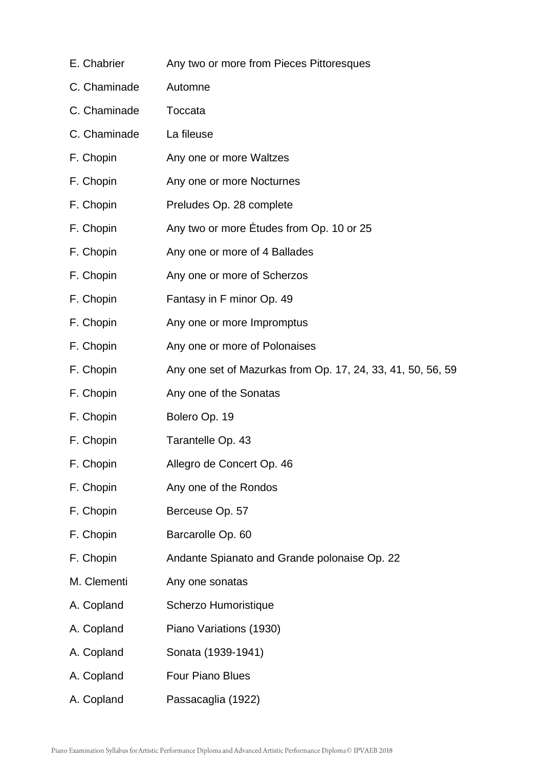| E. Chabrier  | Any two or more from Pieces Pittoresques                    |
|--------------|-------------------------------------------------------------|
| C. Chaminade | Automne                                                     |
| C. Chaminade | Toccata                                                     |
| C. Chaminade | La fileuse                                                  |
| F. Chopin    | Any one or more Waltzes                                     |
| F. Chopin    | Any one or more Nocturnes                                   |
| F. Chopin    | Preludes Op. 28 complete                                    |
| F. Chopin    | Any two or more Etudes from Op. 10 or 25                    |
| F. Chopin    | Any one or more of 4 Ballades                               |
| F. Chopin    | Any one or more of Scherzos                                 |
| F. Chopin    | Fantasy in F minor Op. 49                                   |
| F. Chopin    | Any one or more Impromptus                                  |
| F. Chopin    | Any one or more of Polonaises                               |
| F. Chopin    | Any one set of Mazurkas from Op. 17, 24, 33, 41, 50, 56, 59 |
| F. Chopin    | Any one of the Sonatas                                      |
| F. Chopin    | Bolero Op. 19                                               |
| F. Chopin    | Tarantelle Op. 43                                           |
| F. Chopin    | Allegro de Concert Op. 46                                   |
| F. Chopin    | Any one of the Rondos                                       |
| F. Chopin    | Berceuse Op. 57                                             |
| F. Chopin    | Barcarolle Op. 60                                           |
| F. Chopin    | Andante Spianato and Grande polonaise Op. 22                |
| M. Clementi  | Any one sonatas                                             |
| A. Copland   | Scherzo Humoristique                                        |
| A. Copland   | Piano Variations (1930)                                     |
| A. Copland   | Sonata (1939-1941)                                          |
| A. Copland   | <b>Four Piano Blues</b>                                     |
| A. Copland   | Passacaglia (1922)                                          |
|              |                                                             |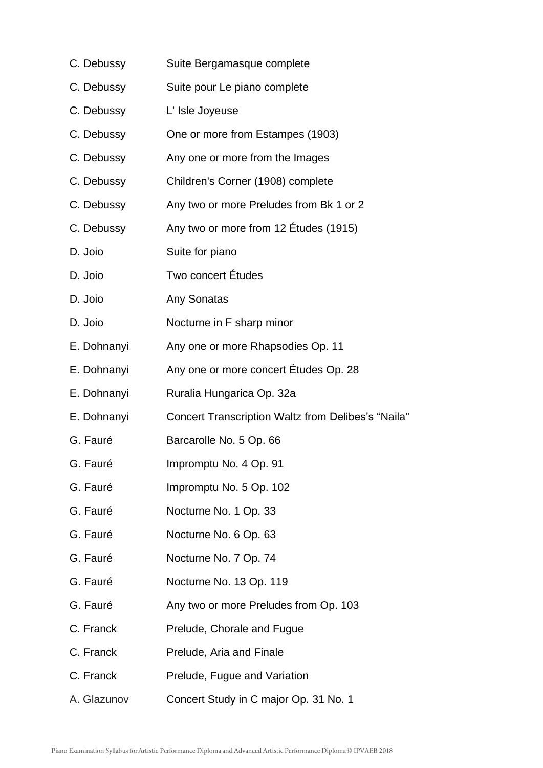| C. Debussy  | Suite Bergamasque complete                                |
|-------------|-----------------------------------------------------------|
| C. Debussy  | Suite pour Le piano complete                              |
| C. Debussy  | L' Isle Joyeuse                                           |
| C. Debussy  | One or more from Estampes (1903)                          |
| C. Debussy  | Any one or more from the Images                           |
| C. Debussy  | Children's Corner (1908) complete                         |
| C. Debussy  | Any two or more Preludes from Bk 1 or 2                   |
| C. Debussy  | Any two or more from 12 Études (1915)                     |
| D. Joio     | Suite for piano                                           |
| D. Joio     | Two concert Études                                        |
| D. Joio     | Any Sonatas                                               |
| D. Joio     | Nocturne in F sharp minor                                 |
| E. Dohnanyi | Any one or more Rhapsodies Op. 11                         |
| E. Dohnanyi | Any one or more concert Études Op. 28                     |
| E. Dohnanyi | Ruralia Hungarica Op. 32a                                 |
| E. Dohnanyi | <b>Concert Transcription Waltz from Delibes's "Naila"</b> |
| G. Fauré    | Barcarolle No. 5 Op. 66                                   |
| G. Fauré    | Impromptu No. 4 Op. 91                                    |
| G. Fauré    | Impromptu No. 5 Op. 102                                   |
| G. Fauré    | Nocturne No. 1 Op. 33                                     |
| G. Fauré    | Nocturne No. 6 Op. 63                                     |
| G. Fauré    | Nocturne No. 7 Op. 74                                     |
| G. Fauré    | Nocturne No. 13 Op. 119                                   |
| G. Fauré    | Any two or more Preludes from Op. 103                     |
| C. Franck   | Prelude, Chorale and Fugue                                |
| C. Franck   | Prelude, Aria and Finale                                  |
| C. Franck   | Prelude, Fugue and Variation                              |
| A. Glazunov | Concert Study in C major Op. 31 No. 1                     |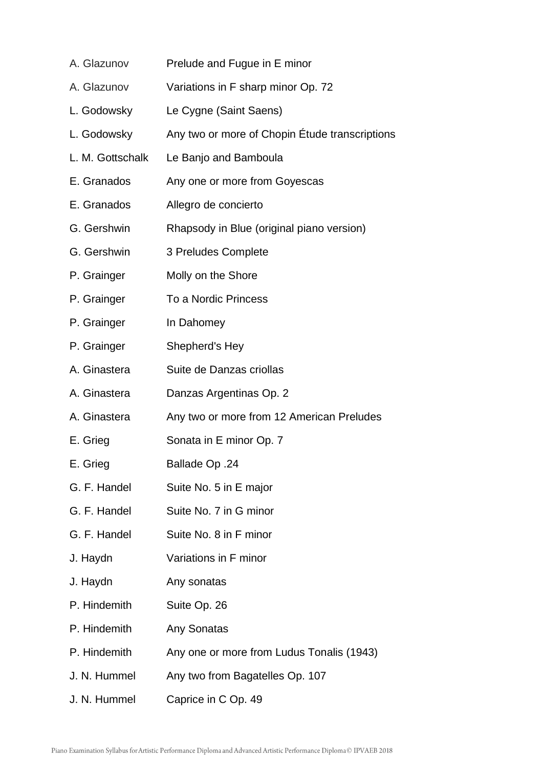| A. Glazunov      | Prelude and Fugue in E minor                   |
|------------------|------------------------------------------------|
| A. Glazunov      | Variations in F sharp minor Op. 72             |
| L. Godowsky      | Le Cygne (Saint Saens)                         |
| L. Godowsky      | Any two or more of Chopin Étude transcriptions |
| L. M. Gottschalk | Le Banjo and Bamboula                          |
| E. Granados      | Any one or more from Goyescas                  |
| E. Granados      | Allegro de concierto                           |
| G. Gershwin      | Rhapsody in Blue (original piano version)      |
| G. Gershwin      | 3 Preludes Complete                            |
| P. Grainger      | Molly on the Shore                             |
| P. Grainger      | To a Nordic Princess                           |
| P. Grainger      | In Dahomey                                     |
| P. Grainger      | Shepherd's Hey                                 |
| A. Ginastera     | Suite de Danzas criollas                       |
| A. Ginastera     | Danzas Argentinas Op. 2                        |
| A. Ginastera     | Any two or more from 12 American Preludes      |
| E. Grieg         | Sonata in E minor Op. 7                        |
| E. Grieg         | <b>Ballade Op .24</b>                          |
| G. F. Handel     | Suite No. 5 in E major                         |
| G. F. Handel     | Suite No. 7 in G minor                         |
| G. F. Handel     | Suite No. 8 in F minor                         |
| J. Haydn         | Variations in F minor                          |
| J. Haydn         | Any sonatas                                    |
| P. Hindemith     | Suite Op. 26                                   |
| P. Hindemith     | Any Sonatas                                    |
| P. Hindemith     | Any one or more from Ludus Tonalis (1943)      |
| J. N. Hummel     | Any two from Bagatelles Op. 107                |
| J. N. Hummel     | Caprice in C Op. 49                            |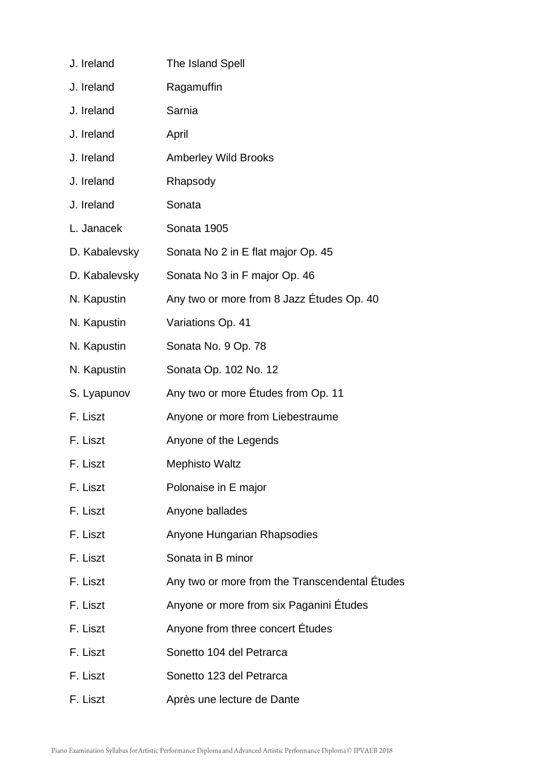| J. Ireland    | The Island Spell                               |
|---------------|------------------------------------------------|
| J. Ireland    | Ragamuffin                                     |
| J. Ireland    | Sarnia                                         |
| J. Ireland    | April                                          |
| J. Ireland    | <b>Amberley Wild Brooks</b>                    |
| J. Ireland    | Rhapsody                                       |
| J. Ireland    | Sonata                                         |
| L. Janacek    | Sonata 1905                                    |
| D. Kabalevsky | Sonata No 2 in E flat major Op. 45             |
| D. Kabalevsky | Sonata No 3 in F major Op. 46                  |
| N. Kapustin   | Any two or more from 8 Jazz Études Op. 40      |
| N. Kapustin   | Variations Op. 41                              |
| N. Kapustin   | Sonata No. 9 Op. 78                            |
| N. Kapustin   | Sonata Op. 102 No. 12                          |
| S. Lyapunov   | Any two or more Études from Op. 11             |
| F. Liszt      | Anyone or more from Liebestraume               |
| F. Liszt      | Anyone of the Legends                          |
| F. Liszt      | <b>Mephisto Waltz</b>                          |
| F. Liszt      | Polonaise in E major                           |
| F. Liszt      | Anyone ballades                                |
| F. Liszt      | Anyone Hungarian Rhapsodies                    |
| F. Liszt      | Sonata in B minor                              |
| F. Liszt      | Any two or more from the Transcendental Études |
| F. Liszt      | Anyone or more from six Paganini Études        |
| F. Liszt      | Anyone from three concert Études               |
| F. Liszt      | Sonetto 104 del Petrarca                       |
| F. Liszt      | Sonetto 123 del Petrarca                       |
| F. Liszt      | Après une lecture de Dante                     |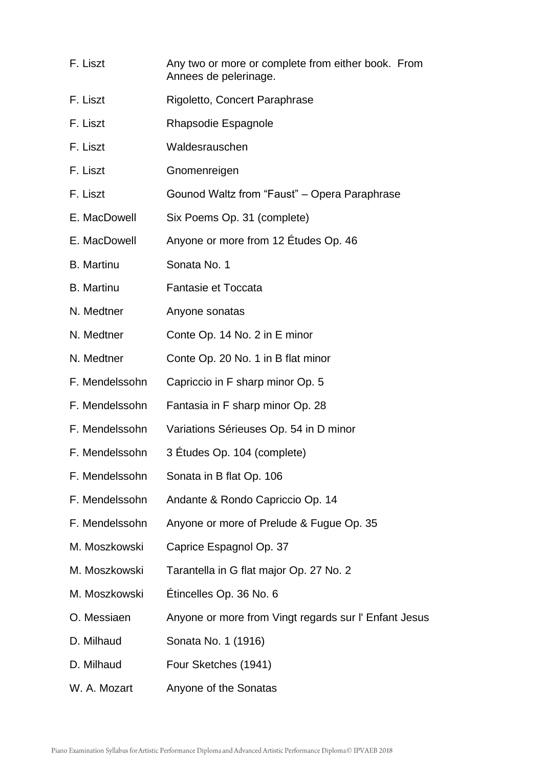| F. Liszt          | Any two or more or complete from either book. From    |  |
|-------------------|-------------------------------------------------------|--|
|                   | Annees de pelerinage.                                 |  |
| F. Liszt          | Rigoletto, Concert Paraphrase                         |  |
| F. Liszt          | Rhapsodie Espagnole                                   |  |
| F. Liszt          | Waldesrauschen                                        |  |
| F. Liszt          | Gnomenreigen                                          |  |
| F. Liszt          | Gounod Waltz from "Faust" - Opera Paraphrase          |  |
| E. MacDowell      | Six Poems Op. 31 (complete)                           |  |
| E. MacDowell      | Anyone or more from 12 Études Op. 46                  |  |
| <b>B.</b> Martinu | Sonata No. 1                                          |  |
| <b>B.</b> Martinu | Fantasie et Toccata                                   |  |
| N. Medtner        | Anyone sonatas                                        |  |
| N. Medtner        | Conte Op. 14 No. 2 in E minor                         |  |
| N. Medtner        | Conte Op. 20 No. 1 in B flat minor                    |  |
| F. Mendelssohn    | Capriccio in F sharp minor Op. 5                      |  |
| F. Mendelssohn    | Fantasia in F sharp minor Op. 28                      |  |
| F. Mendelssohn    | Variations Sérieuses Op. 54 in D minor                |  |
| F. Mendelssohn    | 3 Etudes Op. 104 (complete)                           |  |
| F. Mendelssohn    | Sonata in B flat Op. 106                              |  |
| F. Mendelssohn    | Andante & Rondo Capriccio Op. 14                      |  |
| F. Mendelssohn    | Anyone or more of Prelude & Fugue Op. 35              |  |
| M. Moszkowski     | Caprice Espagnol Op. 37                               |  |
| M. Moszkowski     | Tarantella in G flat major Op. 27 No. 2               |  |
| M. Moszkowski     | Étincelles Op. 36 No. 6                               |  |
| O. Messiaen       | Anyone or more from Vingt regards sur I' Enfant Jesus |  |
| D. Milhaud        | Sonata No. 1 (1916)                                   |  |
| D. Milhaud        | Four Sketches (1941)                                  |  |
| W. A. Mozart      | Anyone of the Sonatas                                 |  |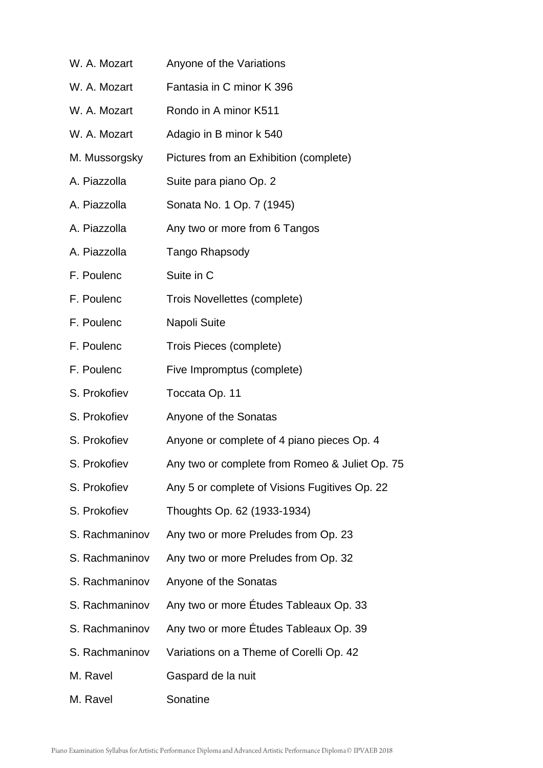W. A. Mozart Anyone of the Variations W. A. Mozart Fantasia in C minor K 396 W. A. Mozart Rondo in A minor K511 W. A. Mozart Adagio in B minor k 540 M. Mussorgsky Pictures from an Exhibition (complete) A. Piazzolla Suite para piano Op. 2 A. Piazzolla Sonata No. 1 Op. 7 (1945) A. Piazzolla Any two or more from 6 Tangos A. Piazzolla Tango Rhapsody F. Poulenc Suite in C F. Poulenc Trois Novellettes (complete) F. Poulenc Napoli Suite F. Poulenc Trois Pieces (complete) F. Poulenc Five Impromptus (complete) S. Prokofiev Toccata Op. 11 S. Prokofiev Anyone of the Sonatas S. Prokofiev Anyone or complete of 4 piano pieces Op. 4 S. Prokofiev Any two or complete from Romeo & Juliet Op. 75 S. Prokofiev Any 5 or complete of Visions Fugitives Op. 22 S. Prokofiev Thoughts Op. 62 (1933-1934) S. Rachmaninov Any two or more Preludes from Op. 23 S. Rachmaninov Any two or more Preludes from Op. 32 S. Rachmaninov Anyone of the Sonatas S. Rachmaninov Any two or more Études Tableaux Op. 33 S. Rachmaninov Any two or more Études Tableaux Op. 39 S. Rachmaninov Variations on a Theme of Corelli Op. 42 M. Ravel Gaspard de la nuit M. Ravel Sonatine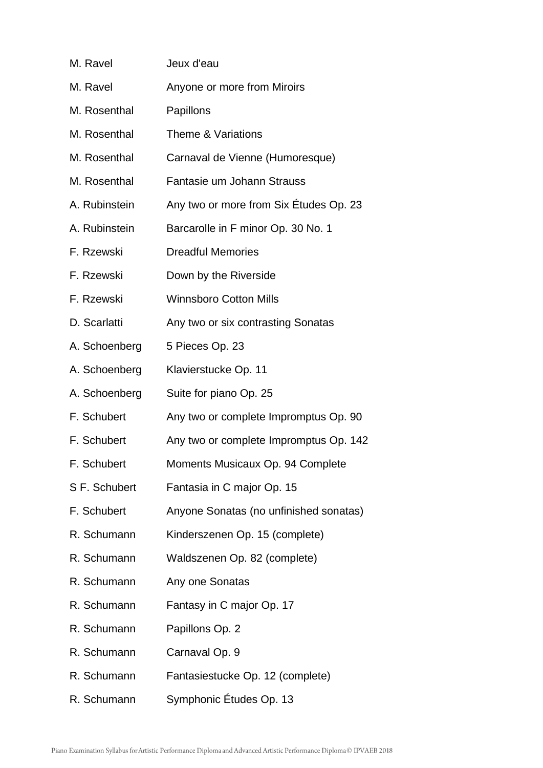| M. Ravel      | Jeux d'eau                             |
|---------------|----------------------------------------|
| M. Ravel      | Anyone or more from Miroirs            |
| M. Rosenthal  | Papillons                              |
| M. Rosenthal  | Theme & Variations                     |
| M. Rosenthal  | Carnaval de Vienne (Humoresque)        |
| M. Rosenthal  | Fantasie um Johann Strauss             |
| A. Rubinstein | Any two or more from Six Études Op. 23 |
| A. Rubinstein | Barcarolle in F minor Op. 30 No. 1     |
| F. Rzewski    | <b>Dreadful Memories</b>               |
| F. Rzewski    | Down by the Riverside                  |
| F. Rzewski    | <b>Winnsboro Cotton Mills</b>          |
| D. Scarlatti  | Any two or six contrasting Sonatas     |
| A. Schoenberg | 5 Pieces Op. 23                        |
| A. Schoenberg | Klavierstucke Op. 11                   |
| A. Schoenberg | Suite for piano Op. 25                 |
| F. Schubert   | Any two or complete Impromptus Op. 90  |
| F. Schubert   | Any two or complete Impromptus Op. 142 |
| F. Schubert   | Moments Musicaux Op. 94 Complete       |
| S F. Schubert | Fantasia in C major Op. 15             |
| F. Schubert   | Anyone Sonatas (no unfinished sonatas) |
| R. Schumann   | Kinderszenen Op. 15 (complete)         |
| R. Schumann   | Waldszenen Op. 82 (complete)           |
| R. Schumann   | Any one Sonatas                        |
| R. Schumann   | Fantasy in C major Op. 17              |
| R. Schumann   | Papillons Op. 2                        |
| R. Schumann   | Carnaval Op. 9                         |
| R. Schumann   | Fantasiestucke Op. 12 (complete)       |
| R. Schumann   | Symphonic Études Op. 13                |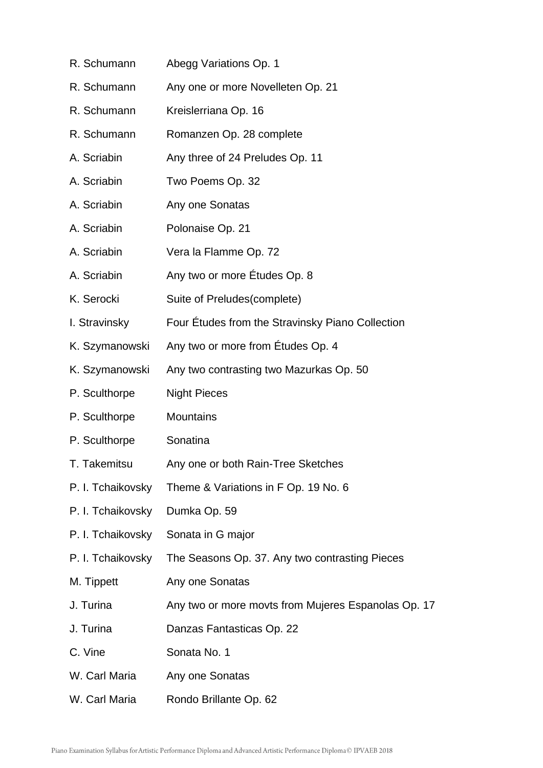R. Schumann Abegg Variations Op. 1 R. Schumann Any one or more Novelleten Op. 21 R. Schumann Kreislerriana Op. 16 R. Schumann Romanzen Op. 28 complete A. Scriabin Any three of 24 Preludes Op. 11 A. Scriabin Two Poems Op. 32 A. Scriabin Any one Sonatas A. Scriabin Polonaise Op. 21 A. Scriabin Vera la Flamme Op. 72 A. Scriabin Any two or more Études Op. 8 K. Serocki Suite of Preludes(complete) I. Stravinsky Four Études from the Stravinsky Piano Collection K. Szymanowski Any two or more from Études Op. 4 K. Szymanowski Any two contrasting two Mazurkas Op. 50 P. Sculthorpe Night Pieces P. Sculthorpe Mountains P. Sculthorpe Sonatina T. Takemitsu Any one or both Rain-Tree Sketches P. I. Tchaikovsky Theme & Variations in F Op. 19 No. 6 P. I. Tchaikovsky Dumka Op. 59 P. I. Tchaikovsky Sonata in G major P. I. Tchaikovsky The Seasons Op. 37. Any two contrasting Pieces M. Tippett Any one Sonatas J. Turina **Any two or more movts from Mujeres Espanolas Op. 17** J. Turina Danzas Fantasticas Op. 22 C. Vine Sonata No. 1 W. Carl Maria Any one Sonatas W. Carl Maria Rondo Brillante Op. 62